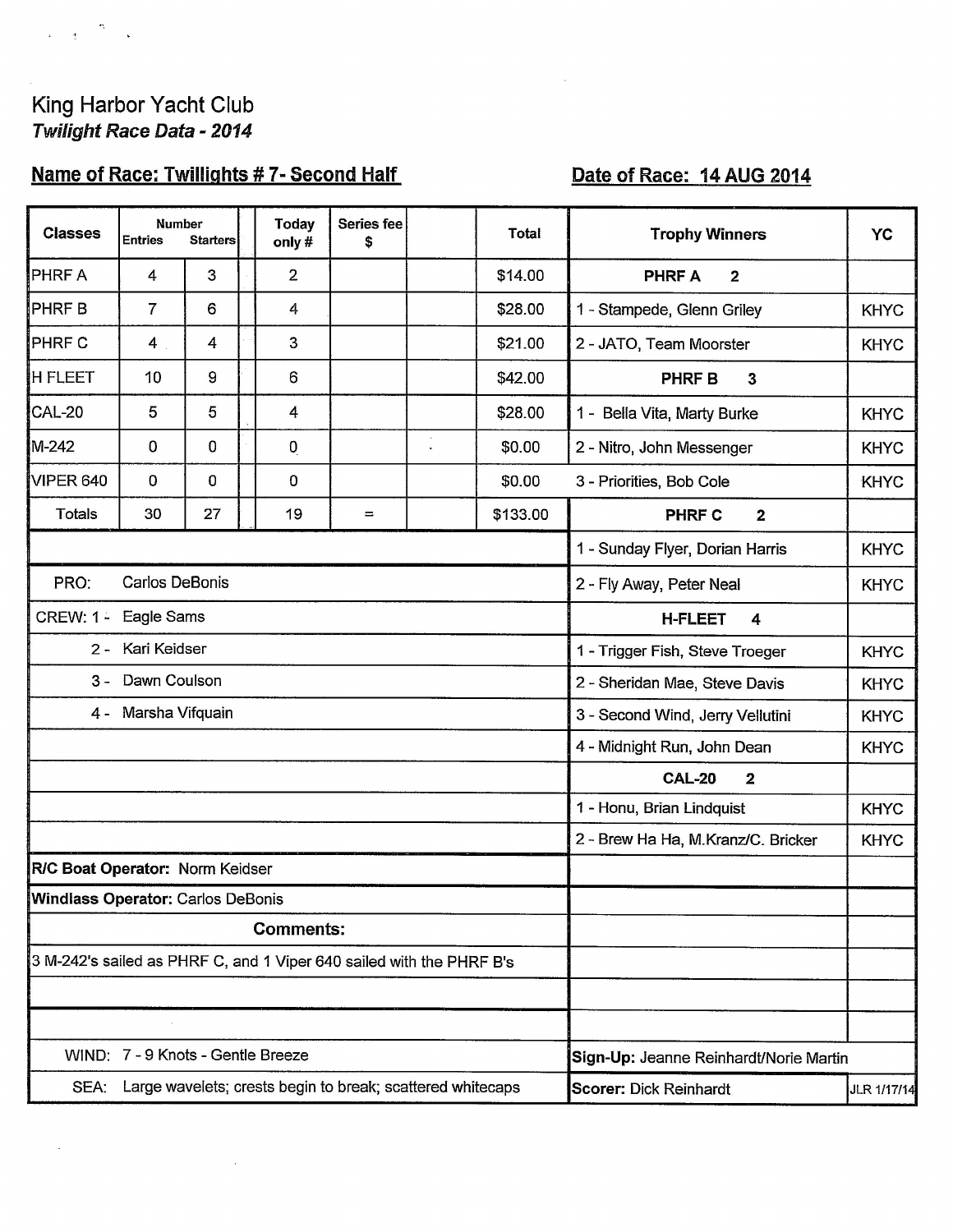$\begin{array}{ccccc} & & & & & \bullet & & \\ & & & & & \bullet & & \\ \bullet & & & & & \bullet & & \bullet \end{array}$ 

 $\sigma^{\pm}$ 

 $\bar{\bar{z}}$ 

# Name of Race: Twillights #7- Second Half

# Date of Race: 14 AUG 2014

| <b>Classes</b>                                                       | <b>Number</b><br><b>Entries</b> | <b>Starters</b> |  | Today<br>only# | Series fee<br>\$ |            | <b>Total</b>                           | <b>Trophy Winners</b>                    | <b>YC</b>   |  |
|----------------------------------------------------------------------|---------------------------------|-----------------|--|----------------|------------------|------------|----------------------------------------|------------------------------------------|-------------|--|
| <b>PHRFA</b>                                                         | 4                               | 3               |  | $\overline{2}$ |                  |            | \$14.00                                | $\overline{2}$<br><b>PHRF A</b>          |             |  |
| PHRF B                                                               | $\overline{7}$                  | 6               |  | 4              |                  |            | \$28.00                                | 1 - Stampede, Glenn Griley               | <b>KHYC</b> |  |
| <b>PHRFC</b>                                                         | 4                               | 4               |  | 3              |                  |            | \$21.00                                | 2 - JATO, Team Moorster                  | <b>KHYC</b> |  |
| <b>H FLEET</b>                                                       | 10                              | 9               |  | 6              |                  |            | \$42.00                                | <b>PHRF B</b><br>$\overline{\mathbf{3}}$ |             |  |
| CAL-20                                                               | 5                               | 5               |  | 4              |                  |            | \$28.00                                | 1 - Bella Vita, Marty Burke              | <b>KHYC</b> |  |
| M-242                                                                | 0                               | $\mathbf 0$     |  | 0              |                  | $\epsilon$ | \$0.00                                 | 2 - Nitro, John Messenger                | <b>KHYC</b> |  |
| VIPER 640                                                            | $\mathbf 0$                     | $\mathbf 0$     |  | 0              |                  |            | \$0.00                                 | 3 - Priorities, Bob Cole                 | <b>KHYC</b> |  |
| Totals                                                               | 30                              | 27              |  | 19             | $\equiv$         |            | \$133.00                               | <b>PHRF C</b><br>$\mathbf{2}$            |             |  |
|                                                                      |                                 |                 |  |                |                  |            |                                        | 1 - Sunday Flyer, Dorian Harris          | <b>KHYC</b> |  |
| PRO:<br><b>Carlos DeBonis</b>                                        |                                 |                 |  |                |                  |            |                                        | 2 - Fly Away, Peter Neal                 | <b>KHYC</b> |  |
| Eagle Sams<br><b>CREW: 1 -</b>                                       |                                 |                 |  |                |                  |            |                                        | <b>H-FLEET</b><br>4                      |             |  |
| 2 - Kari Keidser                                                     |                                 |                 |  |                |                  |            |                                        | 1 - Trigger Fish, Steve Troeger          | <b>KHYC</b> |  |
| Dawn Coulson<br>3 -                                                  |                                 |                 |  |                |                  |            | 2 - Sheridan Mae, Steve Davis          | <b>KHYC</b>                              |             |  |
| Marsha Vifquain<br>$4 -$                                             |                                 |                 |  |                |                  |            | 3 - Second Wind, Jerry Vellutini       | <b>KHYC</b>                              |             |  |
|                                                                      |                                 |                 |  |                |                  |            | 4 - Midnight Run, John Dean            | <b>KHYC</b>                              |             |  |
|                                                                      |                                 |                 |  |                |                  |            |                                        | <b>CAL-20</b><br>$\overline{\mathbf{2}}$ |             |  |
|                                                                      |                                 |                 |  |                |                  |            |                                        | 1 - Honu, Brian Lindquist                | <b>KHYC</b> |  |
|                                                                      |                                 |                 |  |                |                  |            |                                        | 2 - Brew Ha Ha, M.Kranz/C. Bricker       | <b>KHYC</b> |  |
| R/C Boat Operator: Norm Keidser                                      |                                 |                 |  |                |                  |            |                                        |                                          |             |  |
| Windlass Operator: Carlos DeBonis                                    |                                 |                 |  |                |                  |            |                                        |                                          |             |  |
| <b>Comments:</b>                                                     |                                 |                 |  |                |                  |            |                                        |                                          |             |  |
| 3 M-242's sailed as PHRF C, and 1 Viper 640 sailed with the PHRF B's |                                 |                 |  |                |                  |            |                                        |                                          |             |  |
|                                                                      |                                 |                 |  |                |                  |            |                                        |                                          |             |  |
|                                                                      |                                 |                 |  |                |                  |            |                                        |                                          |             |  |
| WIND: 7 - 9 Knots - Gentle Breeze                                    |                                 |                 |  |                |                  |            | Sign-Up: Jeanne Reinhardt/Norie Martin |                                          |             |  |
| Large wavelets; crests begin to break; scattered whitecaps<br>SEA:   |                                 |                 |  |                |                  |            | <b>Scorer: Dick Reinhardt</b>          | JLR 1/17/14                              |             |  |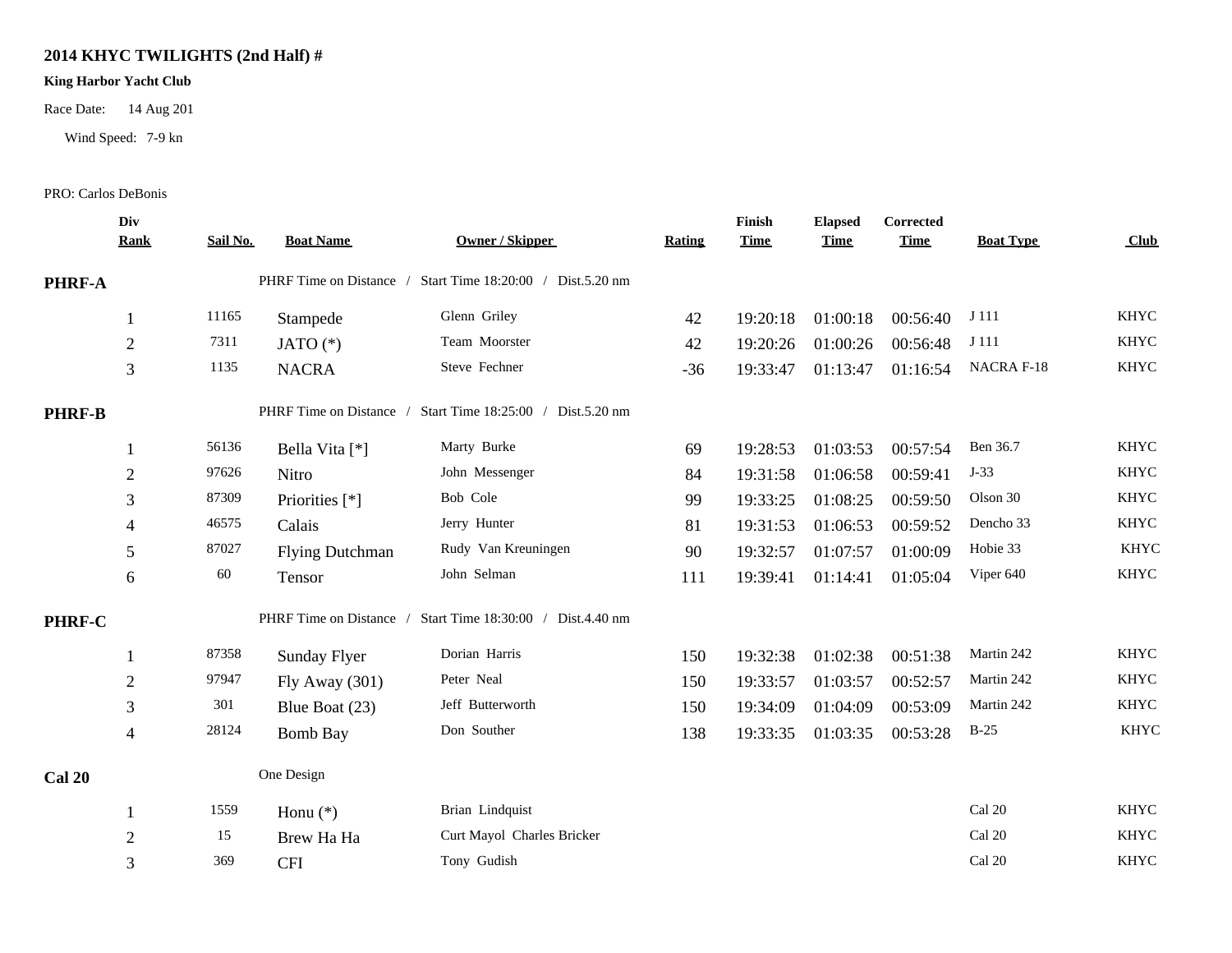### **2014 KHYC TWILIGHTS (2nd Half) #**

### **King Harbor Yacht Club**

Race Date: 14 Aug 201

Wind Speed: 7-9 kn

#### PRO: Carlos DeBonis

|               | Div<br><b>Rank</b> | Sail No. | <b>Boat Name</b>        | <b>Owner / Skipper</b>                                     | Rating | Finish<br><b>Time</b> | <b>Elapsed</b><br><b>Time</b> | Corrected<br><b>Time</b> | <b>Boat Type</b> | Club        |
|---------------|--------------------|----------|-------------------------|------------------------------------------------------------|--------|-----------------------|-------------------------------|--------------------------|------------------|-------------|
| PHRF-A        |                    |          |                         | PHRF Time on Distance / Start Time 18:20:00 / Dist.5.20 nm |        |                       |                               |                          |                  |             |
|               |                    | 11165    | Stampede                | Glenn Griley                                               | 42     | 19:20:18              | 01:00:18                      | 00:56:40                 | J 111            | <b>KHYC</b> |
|               | $\mathfrak{2}$     | 7311     | JATO $(*)$              | Team Moorster                                              | 42     | 19:20:26              | 01:00:26                      | 00:56:48                 | J 111            | <b>KHYC</b> |
|               | 3                  | 1135     | <b>NACRA</b>            | Steve Fechner                                              | $-36$  | 19:33:47              | 01:13:47                      | 01:16:54                 | NACRA F-18       | <b>KHYC</b> |
| <b>PHRF-B</b> |                    |          | PHRF Time on Distance / | Start Time 18:25:00 / Dist.5.20 nm                         |        |                       |                               |                          |                  |             |
|               |                    | 56136    | Bella Vita [*]          | Marty Burke                                                | 69     | 19:28:53              | 01:03:53                      | 00:57:54                 | Ben 36.7         | <b>KHYC</b> |
|               | $\overline{2}$     | 97626    | Nitro                   | John Messenger                                             | 84     | 19:31:58              | 01:06:58                      | 00:59:41                 | $J-33$           | <b>KHYC</b> |
|               | 3                  | 87309    | Priorities [*]          | Bob Cole                                                   | 99     | 19:33:25              | 01:08:25                      | 00:59:50                 | Olson 30         | <b>KHYC</b> |
|               | 4                  | 46575    | Calais                  | Jerry Hunter                                               | 81     | 19:31:53              | 01:06:53                      | 00:59:52                 | Dencho 33        | <b>KHYC</b> |
|               | 5                  | 87027    | <b>Flying Dutchman</b>  | Rudy Van Kreuningen                                        | 90     | 19:32:57              | 01:07:57                      | 01:00:09                 | Hobie 33         | <b>KHYC</b> |
|               | 6                  | 60       | Tensor                  | John Selman                                                | 111    | 19:39:41              | 01:14:41                      | 01:05:04                 | Viper 640        | <b>KHYC</b> |
| PHRF-C        |                    |          |                         | PHRF Time on Distance / Start Time 18:30:00 / Dist.4.40 nm |        |                       |                               |                          |                  |             |
|               |                    | 87358    | Sunday Flyer            | Dorian Harris                                              | 150    | 19:32:38              | 01:02:38                      | 00:51:38                 | Martin 242       | <b>KHYC</b> |
|               | $\overline{2}$     | 97947    | Fly Away $(301)$        | Peter Neal                                                 | 150    | 19:33:57              | 01:03:57                      | 00:52:57                 | Martin 242       | <b>KHYC</b> |
|               | $\mathfrak{Z}$     | 301      | Blue Boat (23)          | Jeff Butterworth                                           | 150    | 19:34:09              | 01:04:09                      | 00:53:09                 | Martin 242       | <b>KHYC</b> |
|               | $\overline{4}$     | 28124    | <b>Bomb Bay</b>         | Don Souther                                                | 138    | 19:33:35              | 01:03:35                      | 00:53:28                 | $B-25$           | <b>KHYC</b> |
| <b>Cal 20</b> |                    |          | One Design              |                                                            |        |                       |                               |                          |                  |             |
|               |                    | 1559     | Honu $(*)$              | Brian Lindquist                                            |        |                       |                               |                          | Cal 20           | <b>KHYC</b> |
|               | $\overline{2}$     | 15       | Brew Ha Ha              | Curt Mayol Charles Bricker                                 |        |                       |                               |                          | Cal 20           | <b>KHYC</b> |
|               | 3                  | 369      | <b>CFI</b>              | Tony Gudish                                                |        |                       |                               |                          | Cal 20           | <b>KHYC</b> |